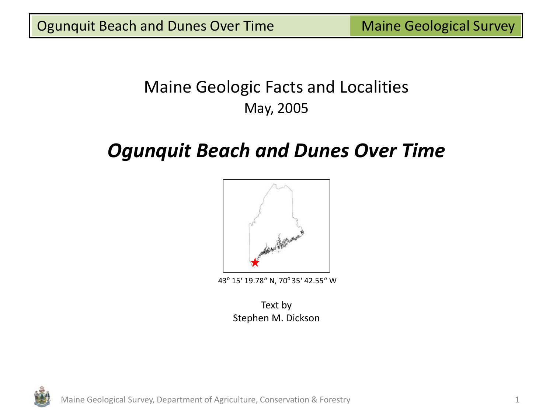# Maine Geologic Facts and Localities May, 2005

# *Ogunquit Beach and Dunes Over Time*



43° 15' 19.78" N, 70° 35' 42.55" W

Text by Stephen M. Dickson



Maine Geological Survey, Department of Agriculture, Conservation & Forestry 1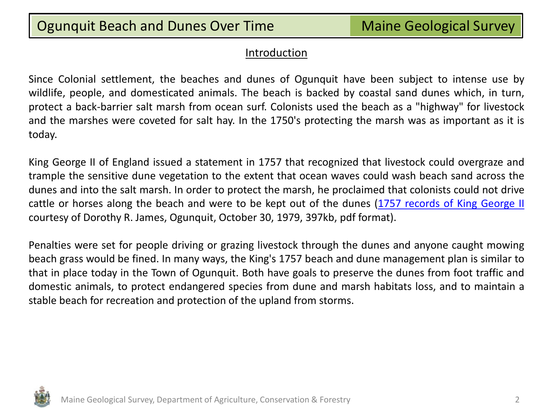#### Introduction

Since Colonial settlement, the beaches and dunes of Ogunquit have been subject to intense use by wildlife, people, and domesticated animals. The beach is backed by coastal sand dunes which, in turn, protect a back-barrier salt marsh from ocean surf. Colonists used the beach as a "highway" for livestock and the marshes were coveted for salt hay. In the 1750's protecting the marsh was as important as it is today.

King George II of England issued a statement in 1757 that recognized that livestock could overgraze and trample the sensitive dune vegetation to the extent that ocean waves could wash beach sand across the dunes and into the salt marsh. In order to protect the marsh, he proclaimed that colonists could not drive cattle or horses along the beach and were to be kept out of the dunes [\(1757](http://www.maine.gov/dacf/mgs/explore/marine/sites/may05-1.pdf) [records](http://www.maine.gov/dacf/mgs/explore/marine/sites/may05-1.pdf) [of](http://www.maine.gov/dacf/mgs/explore/marine/sites/may05-1.pdf) [King](http://www.maine.gov/dacf/mgs/explore/marine/sites/may05-1.pdf) [George](http://www.maine.gov/dacf/mgs/explore/marine/sites/may05-1.pdf) [II](http://www.maine.gov/dacf/mgs/explore/marine/sites/may05-1.pdf) courtesy of Dorothy R. James, Ogunquit, October 30, 1979, 397kb, pdf format).

Penalties were set for people driving or grazing livestock through the dunes and anyone caught mowing beach grass would be fined. In many ways, the King's 1757 beach and dune management plan is similar to that in place today in the Town of Ogunquit. Both have goals to preserve the dunes from foot traffic and domestic animals, to protect endangered species from dune and marsh habitats loss, and to maintain a stable beach for recreation and protection of the upland from storms.

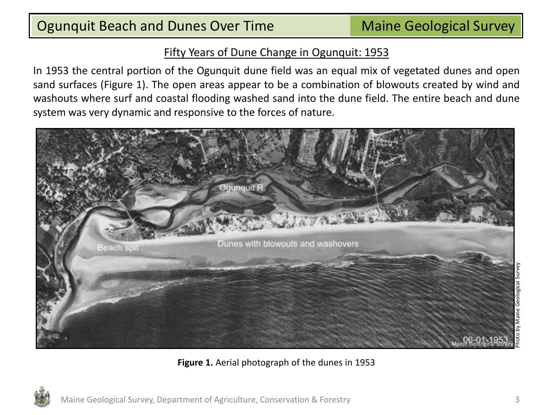In 1953 the central portion of the Ogunquit dune field was an equal mix of vegetated dunes and open sand surfaces (Figure 1). The open areas appear to be a combination of blowouts created by wind and washouts where surf and coastal flooding washed sand into the dune field. The entire beach and dune system was very dynamic and responsive to the forces of nature.



**Figure 1.** Aerial photograph of the dunes in 1953

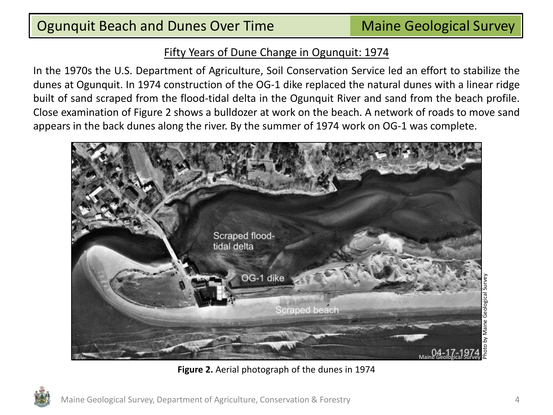In the 1970s the U.S. Department of Agriculture, Soil Conservation Service led an effort to stabilize the dunes at Ogunquit. In 1974 construction of the OG-1 dike replaced the natural dunes with a linear ridge built of sand scraped from the flood-tidal delta in the Ogunquit River and sand from the beach profile. Close examination of Figure 2 shows a bulldozer at work on the beach. A network of roads to move sand appears in the back dunes along the river. By the summer of 1974 work on OG-1 was complete.



**Figure 2.** Aerial photograph of the dunes in 1974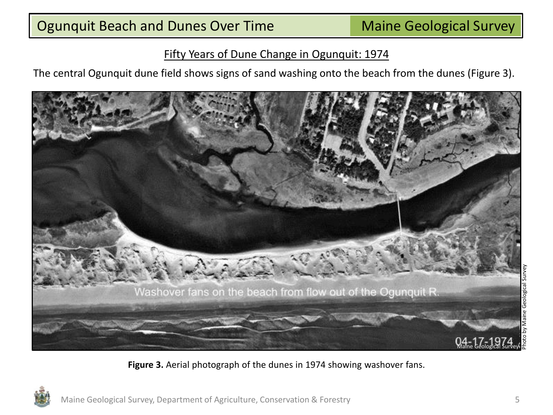The central Ogunquit dune field shows signs of sand washing onto the beach from the dunes (Figure 3).



**Figure 3.** Aerial photograph of the dunes in 1974 showing washover fans.

Geological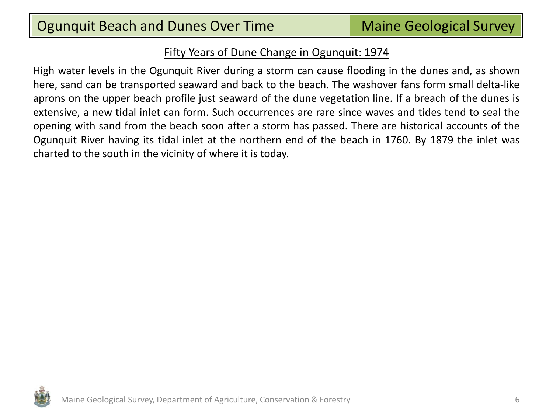High water levels in the Ogunquit River during a storm can cause flooding in the dunes and, as shown here, sand can be transported seaward and back to the beach. The washover fans form small delta-like aprons on the upper beach profile just seaward of the dune vegetation line. If a breach of the dunes is extensive, a new tidal inlet can form. Such occurrences are rare since waves and tides tend to seal the opening with sand from the beach soon after a storm has passed. There are historical accounts of the Ogunquit River having its tidal inlet at the northern end of the beach in 1760. By 1879 the inlet was charted to the south in the vicinity of where it is today.

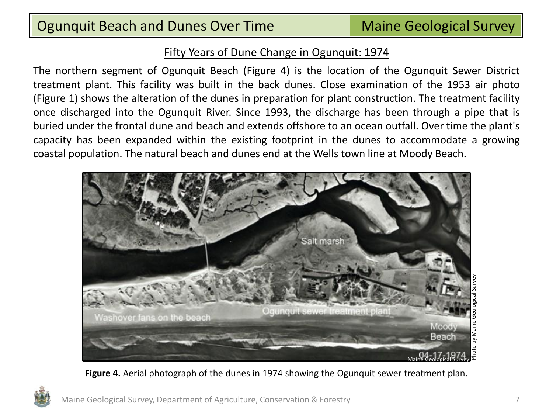The northern segment of Ogunquit Beach (Figure 4) is the location of the Ogunquit Sewer District treatment plant. This facility was built in the back dunes. Close examination of the 1953 air photo (Figure 1) shows the alteration of the dunes in preparation for plant construction. The treatment facility once discharged into the Ogunquit River. Since 1993, the discharge has been through a pipe that is buried under the frontal dune and beach and extends offshore to an ocean outfall. Over time the plant's capacity has been expanded within the existing footprint in the dunes to accommodate a growing coastal population. The natural beach and dunes end at the Wells town line at Moody Beach.



**Figure 4.** Aerial photograph of the dunes in 1974 showing the Ogunquit sewer treatment plan.

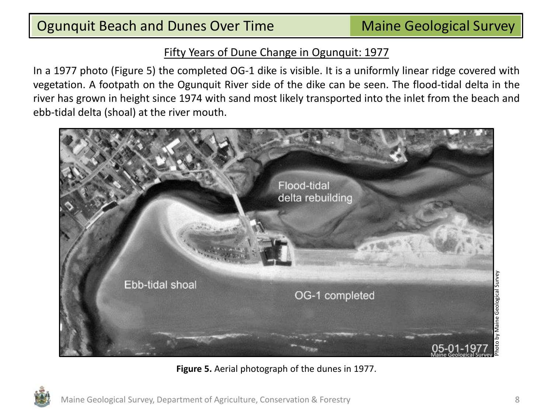In a 1977 photo (Figure 5) the completed OG-1 dike is visible. It is a uniformly linear ridge covered with vegetation. A footpath on the Ogunquit River side of the dike can be seen. The flood-tidal delta in the river has grown in height since 1974 with sand most likely transported into the inlet from the beach and ebb-tidal delta (shoal) at the river mouth.



**Figure 5.** Aerial photograph of the dunes in 1977.

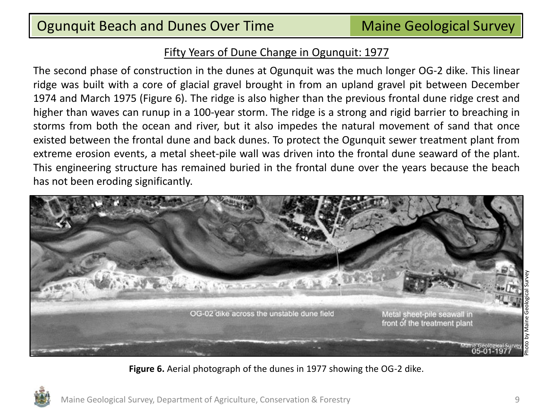The second phase of construction in the dunes at Ogunquit was the much longer OG-2 dike. This linear ridge was built with a core of glacial gravel brought in from an upland gravel pit between December 1974 and March 1975 (Figure 6). The ridge is also higher than the previous frontal dune ridge crest and higher than waves can runup in a 100-year storm. The ridge is a strong and rigid barrier to breaching in storms from both the ocean and river, but it also impedes the natural movement of sand that once existed between the frontal dune and back dunes. To protect the Ogunquit sewer treatment plant from extreme erosion events, a metal sheet-pile wall was driven into the frontal dune seaward of the plant. This engineering structure has remained buried in the frontal dune over the years because the beach has not been eroding significantly.



**Figure 6.** Aerial photograph of the dunes in 1977 showing the OG-2 dike.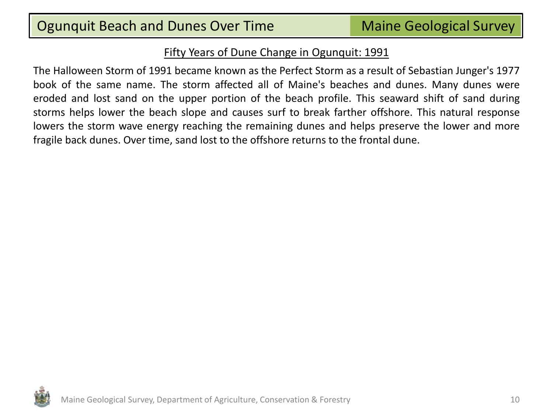The Halloween Storm of 1991 became known as the Perfect Storm as a result of Sebastian Junger's 1977 book of the same name. The storm affected all of Maine's beaches and dunes. Many dunes were eroded and lost sand on the upper portion of the beach profile. This seaward shift of sand during storms helps lower the beach slope and causes surf to break farther offshore. This natural response lowers the storm wave energy reaching the remaining dunes and helps preserve the lower and more fragile back dunes. Over time, sand lost to the offshore returns to the frontal dune.

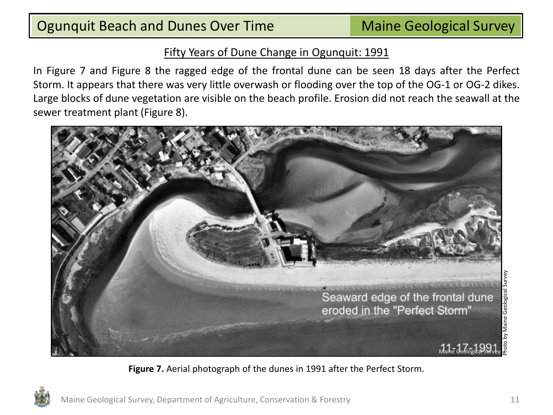In Figure 7 and Figure 8 the ragged edge of the frontal dune can be seen 18 days after the Perfect Storm. It appears that there was very little overwash or flooding over the top of the OG-1 or OG-2 dikes. Large blocks of dune vegetation are visible on the beach profile. Erosion did not reach the seawall at the sewer treatment plant (Figure 8).



**Figure 7.** Aerial photograph of the dunes in 1991 after the Perfect Storm.

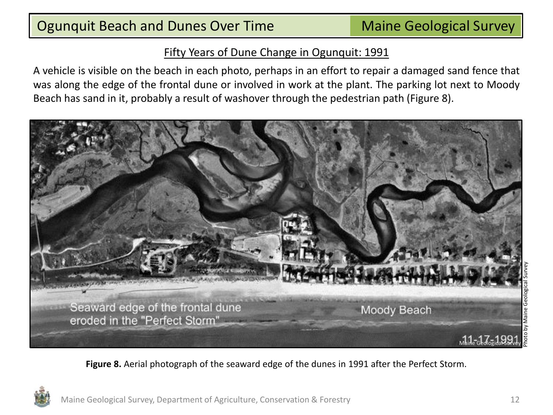A vehicle is visible on the beach in each photo, perhaps in an effort to repair a damaged sand fence that was along the edge of the frontal dune or involved in work at the plant. The parking lot next to Moody Beach has sand in it, probably a result of washover through the pedestrian path (Figure 8).



**Figure 8.** Aerial photograph of the seaward edge of the dunes in 1991 after the Perfect Storm.

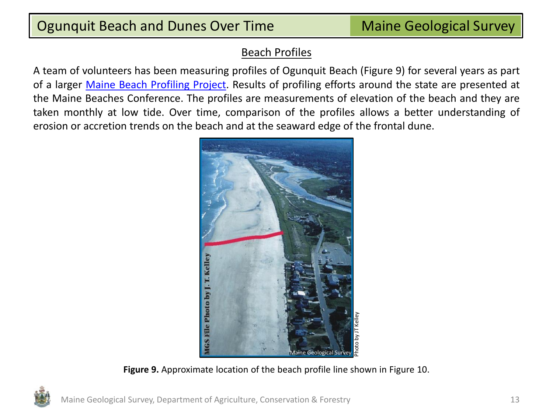## Ogunquit Beach and Dunes Over Time **Maine Geological Survey**

#### Beach Profiles

A team of volunteers has been measuring profiles of Ogunquit Beach (Figure 9) for several years as part of a larger [Maine](http://www.seagrant.umaine.edu/extension/beach-profile-monitoring/home) [Beach](http://www.seagrant.umaine.edu/extension/beach-profile-monitoring/home) [Profiling](http://www.seagrant.umaine.edu/extension/beach-profile-monitoring/home) [Project](http://www.seagrant.umaine.edu/extension/beach-profile-monitoring/home). Results of profiling efforts around the state are presented at the Maine Beaches Conference. The profiles are measurements of elevation of the beach and they are taken monthly at low tide. Over time, comparison of the profiles allows a better understanding of erosion or accretion trends on the beach and at the seaward edge of the frontal dune.



**Figure 9.** Approximate location of the beach profile line shown in Figure 10.

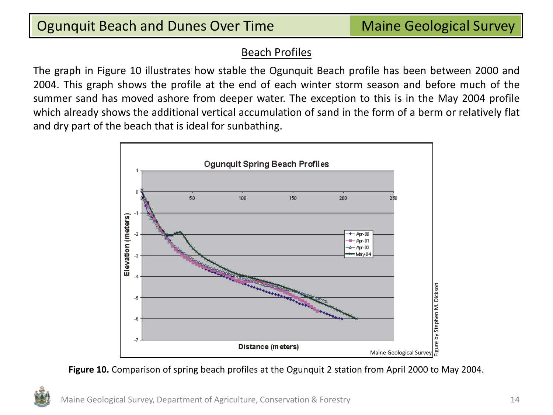### Beach Profiles

The graph in Figure 10 illustrates how stable the Ogunquit Beach profile has been between 2000 and 2004. This graph shows the profile at the end of each winter storm season and before much of the summer sand has moved ashore from deeper water. The exception to this is in the May 2004 profile which already shows the additional vertical accumulation of sand in the form of a berm or relatively flat and dry part of the beach that is ideal for sunbathing.



**Figure 10.** Comparison of spring beach profiles at the Ogunquit 2 station from April 2000 to May 2004.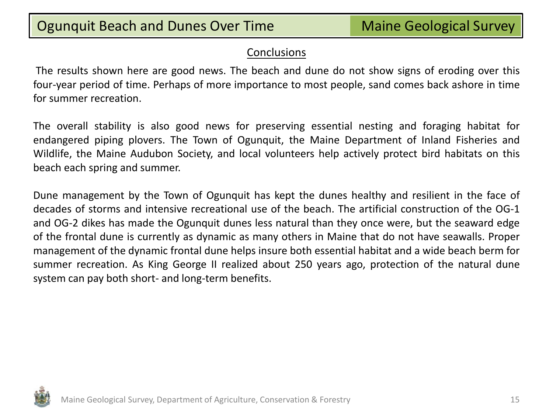#### **Conclusions**

The results shown here are good news. The beach and dune do not show signs of eroding over this four-year period of time. Perhaps of more importance to most people, sand comes back ashore in time for summer recreation.

The overall stability is also good news for preserving essential nesting and foraging habitat for endangered piping plovers. The Town of Ogunquit, the Maine Department of Inland Fisheries and Wildlife, the Maine Audubon Society, and local volunteers help actively protect bird habitats on this beach each spring and summer.

Dune management by the Town of Ogunquit has kept the dunes healthy and resilient in the face of decades of storms and intensive recreational use of the beach. The artificial construction of the OG-1 and OG-2 dikes has made the Ogunquit dunes less natural than they once were, but the seaward edge of the frontal dune is currently as dynamic as many others in Maine that do not have seawalls. Proper management of the dynamic frontal dune helps insure both essential habitat and a wide beach berm for summer recreation. As King George II realized about 250 years ago, protection of the natural dune system can pay both short- and long-term benefits.

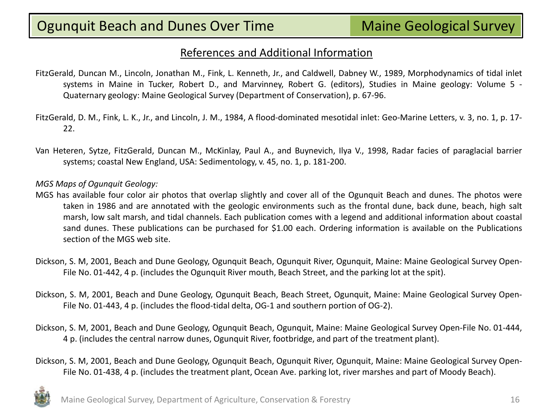#### References and Additional Information

- FitzGerald, Duncan M., Lincoln, Jonathan M., Fink, L. Kenneth, Jr., and Caldwell, Dabney W., 1989, Morphodynamics of tidal inlet systems in Maine in Tucker, Robert D., and Marvinney, Robert G. (editors), Studies in Maine geology: Volume 5 - Quaternary geology: Maine Geological Survey (Department of Conservation), p. 67-96.
- FitzGerald, D. M., Fink, L. K., Jr., and Lincoln, J. M., 1984, A flood-dominated mesotidal inlet: Geo-Marine Letters, v. 3, no. 1, p. 17- 22.
- Van Heteren, Sytze, FitzGerald, Duncan M., McKinlay, Paul A., and Buynevich, Ilya V., 1998, Radar facies of paraglacial barrier systems; coastal New England, USA: Sedimentology, v. 45, no. 1, p. 181-200.

#### *MGS Maps of Ogunquit Geology:*

- MGS has available four color air photos that overlap slightly and cover all of the Ogunquit Beach and dunes. The photos were taken in 1986 and are annotated with the geologic environments such as the frontal dune, back dune, beach, high salt marsh, low salt marsh, and tidal channels. Each publication comes with a legend and additional information about coastal sand dunes. These publications can be purchased for \$1.00 each. Ordering information is available on the Publications section of the MGS web site.
- Dickson, S. M, 2001, Beach and Dune Geology, Ogunquit Beach, Ogunquit River, Ogunquit, Maine: Maine Geological Survey Open-File No. 01-442, 4 p. (includes the Ogunquit River mouth, Beach Street, and the parking lot at the spit).
- Dickson, S. M, 2001, Beach and Dune Geology, Ogunquit Beach, Beach Street, Ogunquit, Maine: Maine Geological Survey Open-File No. 01-443, 4 p. (includes the flood-tidal delta, OG-1 and southern portion of OG-2).
- Dickson, S. M, 2001, Beach and Dune Geology, Ogunquit Beach, Ogunquit, Maine: Maine Geological Survey Open-File No. 01-444, 4 p. (includes the central narrow dunes, Ogunquit River, footbridge, and part of the treatment plant).
- Dickson, S. M, 2001, Beach and Dune Geology, Ogunquit Beach, Ogunquit River, Ogunquit, Maine: Maine Geological Survey Open-File No. 01-438, 4 p. (includes the treatment plant, Ocean Ave. parking lot, river marshes and part of Moody Beach).